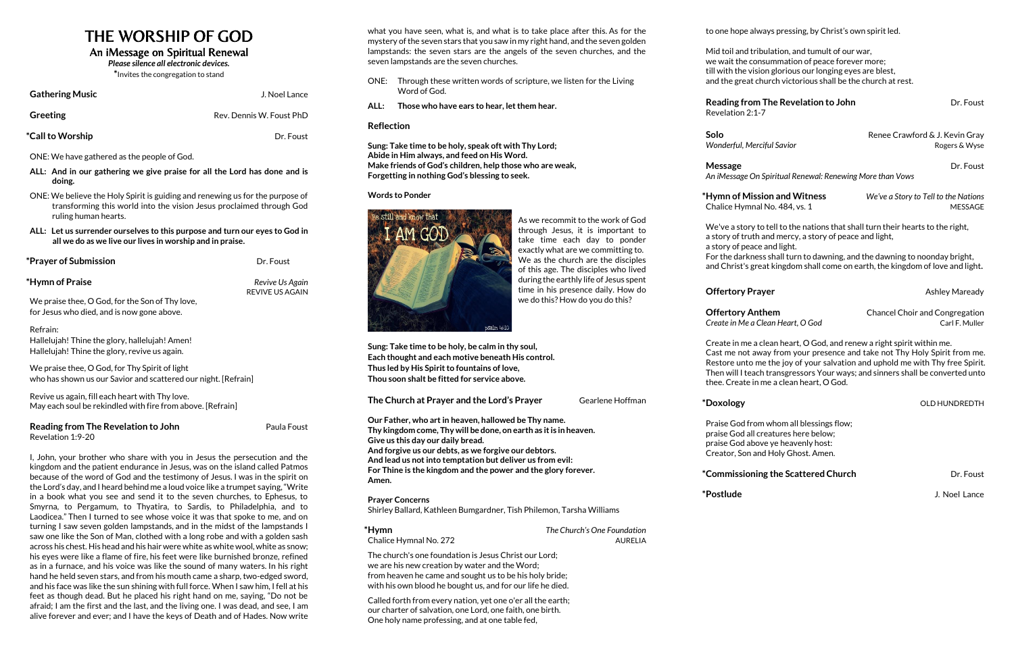# THE WORSHIP OF GOD

## An iMessage on Spiritual Renewal

*Please silence all electronic devices.* **\***Invites the congregation to stand

| <b>Gathering Music</b> | J. Noel Lance            |
|------------------------|--------------------------|
| Greeting               | Rev. Dennis W. Foust PhD |
| *Call to Worship       | Dr. Foust                |

ONE: We have gathered as the people of God.

- **ALL: And in our gathering we give praise for all the Lord has done and is doing.**
- ONE: We believe the Holy Spirit is guiding and renewing us for the purpose of transforming this world into the vision Jesus proclaimed through God ruling human hearts.
- **ALL: Let us surrender ourselves to this purpose and turn our eyes to God in all we do as we live our lives in worship and in praise.**

### **\*Prayer of Submission Dr. Foust**

#### **Reading from The Revelation to John 
<b>Paula Foust** Revelation 1:9-20

**\*Hymn of Praise** *Revive Us Again*

REVIVE US AGAIN

We praise thee, O God, for the Son of Thy love, for Jesus who died, and is now gone above.

Refrain:

Hallelujah! Thine the glory, hallelujah! Amen! Hallelujah! Thine the glory, revive us again.

We praise thee, O God, for Thy Spirit of light who has shown us our Savior and scattered our night. [Refrain]

Revive us again, fill each heart with Thy love. May each soul be rekindled with fire from above. [Refrain]

I, John, your brother who share with you in Jesus the persecution and the kingdom and the patient endurance in Jesus, was on the island called Patmos because of the word of God and the testimony of Jesus. I was in the spirit on the Lord's day, and I heard behind me a loud voice like a trumpet saying, "Write in a book what you see and send it to the seven churches, to Ephesus, to Smyrna, to Pergamum, to Thyatira, to Sardis, to Philadelphia, and to Laodicea." Then I turned to see whose voice it was that spoke to me, and on turning I saw seven golden lampstands, and in the midst of the lampstands I saw one like the Son of Man, clothed with a long robe and with a golden sash across his chest. His head and his hair were white as white wool, white as snow; his eyes were like a flame of fire, his feet were like burnished bronze, refined as in a furnace, and his voice was like the sound of many waters. In his right hand he held seven stars, and from his mouth came a sharp, two-edged sword, and his face was like the sun shining with full force. When I saw him, I fell at his feet as though dead. But he placed his right hand on me, saying, "Do not be afraid; I am the first and the last, and the living one. I was dead, and see, I am alive forever and ever; and I have the keys of Death and of Hades. Now write

**\*Hymn** *The Church's One Foundation* Chalice Hymnal No. 272 **AURELIA**  **\*Hymn of Mission and Witness** *We've a Story to Tell to the Nations* Chalice Hymnal No. 484, vs. 1 MESSAGE

what you have seen, what is, and what is to take place after this. As for the mystery of the seven stars that you saw in my right hand, and the seven golden lampstands: the seven stars are the angels of the seven churches, and the seven lampstands are the seven churches.

- ONE: Through these written words of scripture, we listen for the Living Word of God.
- **ALL: Those who have ears to hear, let them hear.**

### **Reflection**

**Sung: Take time to be holy, speak oft with Thy Lord; Abide in Him always, and feed on His Word. Make friends of God's children, help those who are weak, Forgetting in nothing God's blessing to seek.**

**Words to Ponder**



As we recommit to the work of God through Jesus, it is important to take time each day to ponder exactly what are we committing to. We as the church are the disciples of this age. The disciples who lived during the earthly life of Jesus spent time in his presence daily. How do we do this? How do you do this?

**Sung: Take time to be holy, be calm in thy soul, Each thought and each motive beneath His control.**

**Thus led by His Spirit to fountains of love, Thou soon shalt be fitted for service above.**

**Our Father, who art in heaven, hallowed be Thy name.** 

**Thy kingdom come, Thy will be done, on earth as it is in heaven.** 

**Give us this day our daily bread.** 

**And forgive us our debts, as we forgive our debtors. And lead us not into temptation but deliver us from evil: For Thine is the kingdom and the power and the glory forever.** 

**Amen.**

**Prayer Concerns**

Shirley Ballard, Kathleen Bumgardner, Tish Philemon, Tarsha Williams

**The Church at Prayer and the Lord's Prayer** Gearlene Hoffman

The church's one foundation is Jesus Christ our Lord; we are his new creation by water and the Word; from heaven he came and sought us to be his holy bride; with his own blood he bought us, and for our life he died.

Called forth from every nation, yet one o'er all the earth; our charter of salvation, one Lord, one faith, one birth. One holy name professing, and at one table fed,

to one hope always pressing, by Christ's own spirit led.

**Reading from The Revelation to John 
Beading from The Revelation to John** 

**Solo** Renee Crawford & J. Kevin Gray **Wonderful, Merciful Savior Rogers & Wyse Rogers & Wyse** 

Mid toil and tribulation, and tumult of our war, we wait the consummation of peace forever more; till with the vision glorious our longing eyes are blest, and the great church victorious shall be the church at rest.

Revelation 2:1-7

**Message Dr. Foust Allen Street Except Allen Street Except Allen Street Except Allen Street Allen Street Except** 

*An iMessage On Spiritual Renewal: Renewing More than Vows*

We've a story to tell to the nations that shall turn their hearts to the right, a story of truth and mercy, a story of peace and light,

a story of peace and light.

For the darkness shall turn to dawning, and the dawning to noonday bright, and Christ's great kingdom shall come on earth, the kingdom of love and light**.**

**Offertory Prayer Community Construction Ashley Maready** 

**Offertory Anthem** Chancel Choir and Congregation **Create in Me a Clean Heart, O God** Carl F. Muller

Create in me a clean heart, O God, and renew a right spirit within me.

Cast me not away from your presence and take not Thy Holy Spirit from me. Restore unto me the joy of your salvation and uphold me with Thy free Spirit. Then will I teach transgressors Your ways; and sinners shall be converted unto thee. Create in me a clean heart, O God.

**\*Doxology** OLD HUNDREDTH

Praise God from whom all blessings flow; praise God all creatures here below; praise God above ye heavenly host: Creator, Son and Holy Ghost. Amen.

**\*Commissioning the Scattered Church** Dr. Foust

**\*Postlude** J. Noel Lance